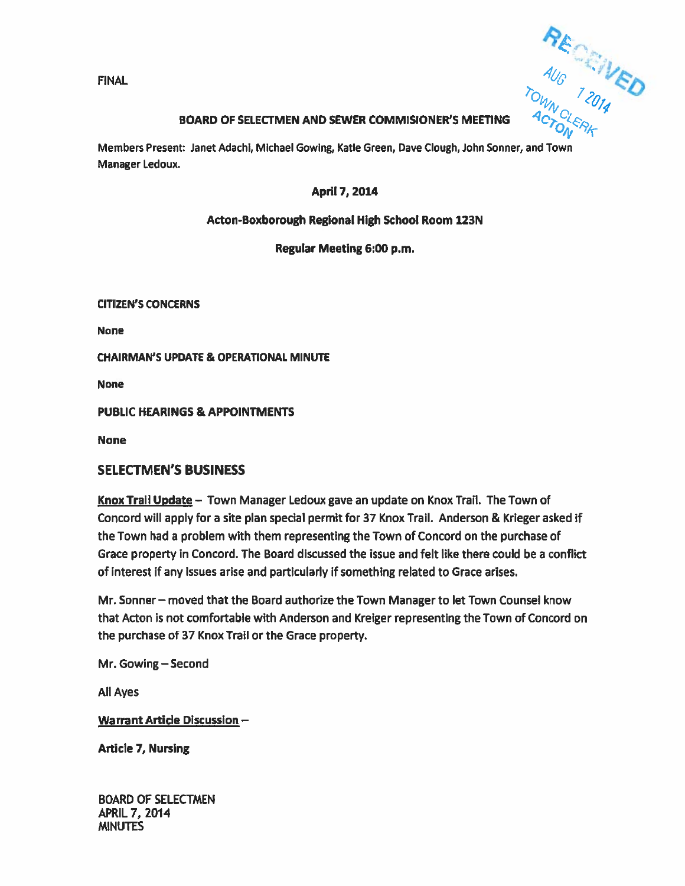$\mathsf{FINAL}$  . The contract of the contract of the contract of the contract of the contract of the contract of the contract of the contract of the contract of the contract of the contract of the contract of the contract of t id

## BOARD OF SELECTMEN AND SEWER COMMISIONER'S MEETING

Members Present: Janet Adachi, Michael Gowing, Katie Green, Dave dough, John Sonner, and Town Manager Ledoux.

## April 7, 2014

## Acton-Boxborough Regional High School Room 123N

Regular Meeting 6:00 p.m.

CITIZEN'S CONCERNS

None

CHAIRMAN'S UPDATE & OPERATIONAL MINUTE

None

PUBUC HEARINGS & APPOINTMENTS

None

## SELECTMEN'S BUSINESS

Knox Trail Update — Town Manager Ledoux gave an update on Knox Trail. The Town of Concord will apply for <sup>a</sup> site plan special permit for 37 Knox Trail. Anderson & Krleger asked if the Town had <sup>a</sup> problem with them representing the Town of Concord on the purchase of Grace property in Concord. The Board discussed the issue and felt like there could be <sup>a</sup> conflict of interest if any issues arise and particularly if something related to Grace arises.

Mr. Sonner — moved that the Board authorize the Town Manager to let Town Counsel know that Acton is not comfortable with Anderson and Kreiger representing the Town of Concord on the purchase of 37 Knox Trail or the Grace property.

Mr. Gowing—Second

All Ayes

Warrant Article Discussion —

Article 7, Nursing

BOARD OF SELECTMEN APRIL 7, 2014 MINUTES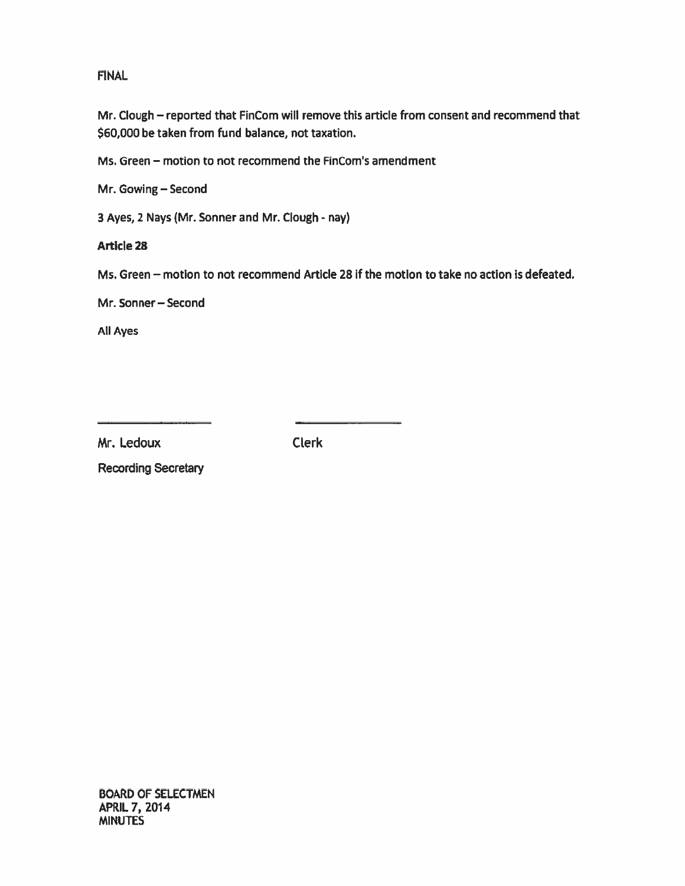## FINAL

Mr. Clough – reported that FinCom will remove this article from consent and recommend that \$60,000 be taken from fund balance, not taxation.

Ms. Green — motion to not recommend the FinCom's amendment

Mr. Gowing—Second

3 Ayes, 2 Nays (Mr. Sonner and Mr. Clough - nay)

ArtIcle 28

Ms. Green — motion to not recommend Article 28 if the motion to take no action is defeated.

Mr. Sonner—Second

All Ayes

Mr. Ledoux Clerk

Recording Secretary

BOARD OF SELECTMEN APRIL 7, 2014 **MINUTES**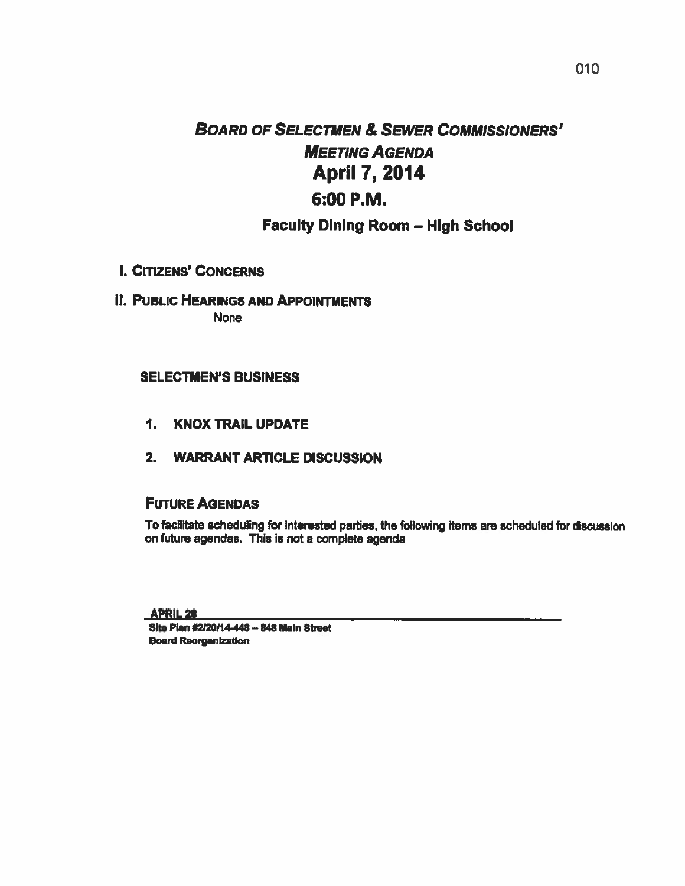# **BOARD OF SELECTMEN & SEWER COMMISSIONERS'** MEETING AGENDA April 7, 2014 6:00 P.M.

## Faculty Dining Room — High School

- I. CITIZENS' CONCERNS
- II. PUBLIC HEARINGS AND APPOINTMENTS

None

## SELECTMEN'S BUSINESS

- 1. KNOX TRAIL UPDATE
- 2. WARRANT ARTICLE DISCUSSION

## FUTURE AGENDAS

To facilitate scheduling for Interested parties, the following items are scheduled for discussIon on future agendas. This is not <sup>a</sup> complete agenda

APRIL28

Site Plan #2/20/14-448 - 848 Main Street Board Reorganization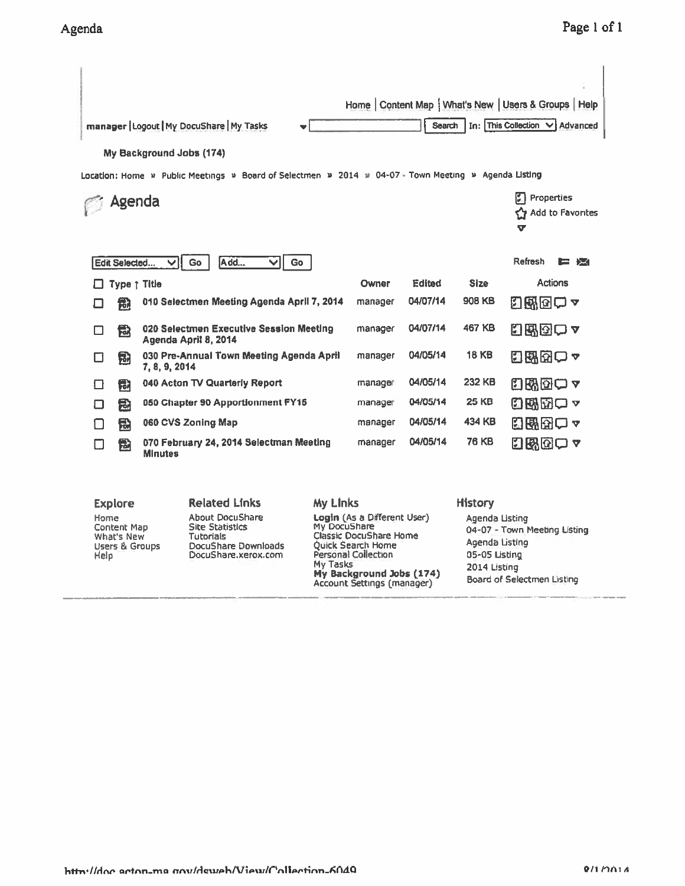| enda                                                                   |                         |                          |                                                                                                      |                 |                                                                                                                                                                                                |               |                | Page 1                                                                                                                          |  |  |
|------------------------------------------------------------------------|-------------------------|--------------------------|------------------------------------------------------------------------------------------------------|-----------------|------------------------------------------------------------------------------------------------------------------------------------------------------------------------------------------------|---------------|----------------|---------------------------------------------------------------------------------------------------------------------------------|--|--|
|                                                                        |                         | My Background Jobs (174) | manager   Logout   My DocuShare   My Tasks                                                           |                 |                                                                                                                                                                                                | Search        |                | Home   Content Map   What's New   Users & Groups   Help<br>In: This Collection V Advanced                                       |  |  |
|                                                                        | Agenda                  |                          | Location: Home » Public Meetings » Board of Selectmen » 2014 » 04-07 - Town Meeting » Agenda Listing |                 |                                                                                                                                                                                                |               |                | Properties<br>Add to Favorites<br>C۲<br>v                                                                                       |  |  |
|                                                                        | Edit Selected           | VI                       | Add<br>Go<br>◡                                                                                       | Go              |                                                                                                                                                                                                |               |                | Refresh<br>13 13                                                                                                                |  |  |
|                                                                        | Type <sub>7</sub> Title |                          |                                                                                                      |                 | Owner                                                                                                                                                                                          | <b>Edited</b> | <b>Size</b>    | <b>Actions</b>                                                                                                                  |  |  |
| П                                                                      | 慟                       |                          | 010 Selectmen Meeting Agenda April 7, 2014                                                           |                 | manager                                                                                                                                                                                        | 04/07/14      | 908 KB         | 幻路図○▼                                                                                                                           |  |  |
| П                                                                      | 囹                       |                          | 020 Selectmen Executive Session Meeting<br>Agenda April 8, 2014                                      |                 | manager                                                                                                                                                                                        | 04/07/14      | 467 KB         | 日邸図ロッ                                                                                                                           |  |  |
| □                                                                      | 围                       | 7, 8, 9, 2014            | 030 Pre-Annual Town Meeting Agenda April                                                             |                 | manager                                                                                                                                                                                        | 04/05/14      | 18 KB          | 日曜田口~                                                                                                                           |  |  |
| ᄗ                                                                      | 囹                       |                          | 040 Acton TV Quarterly Report                                                                        |                 | manager                                                                                                                                                                                        | 04/05/14      | 232 KB         | 日晩団つっ                                                                                                                           |  |  |
| П                                                                      | 盘                       |                          | 050 Chapter 90 Apportionment FY15                                                                    |                 | manager                                                                                                                                                                                        | 04/05/14      | 25 KB          | 日邸的ロャ                                                                                                                           |  |  |
| П                                                                      | 囹                       |                          | 060 CVS Zoning Map                                                                                   |                 | manager                                                                                                                                                                                        | 04/05/14      | 434 KB         | 内部因ロー                                                                                                                           |  |  |
| П                                                                      | 囹                       | <b>Minutes</b>           | 070 February 24, 2014 Selectman Meeting                                                              |                 | manager                                                                                                                                                                                        | 04/05/14      | 76 KB          | 8800 y                                                                                                                          |  |  |
|                                                                        | <b>Explore</b>          |                          | <b>Related Links</b>                                                                                 | <b>My Links</b> |                                                                                                                                                                                                |               | <b>History</b> |                                                                                                                                 |  |  |
| Home<br>Content Map<br>What's New<br><b>Users &amp; Groups</b><br>Help |                         |                          | About DocuShare<br><b>Site Statistics</b><br>Tutorials<br>DocuShare Downloads<br>DocuShare.xerox.com |                 | Login (As a Different User)<br>My DocuShare<br>Classic DocuShare Home<br><b>Ouick Search Home</b><br>Personal Collection<br>My Tasks<br>My Background Jobs (174)<br>Account Settings (manager) |               |                | Agenda Listing<br>04-07 - Town Meeting Listing<br>Agenda Listing<br>05-05 Listing<br>2014 Listing<br>Board of Selectmen Listing |  |  |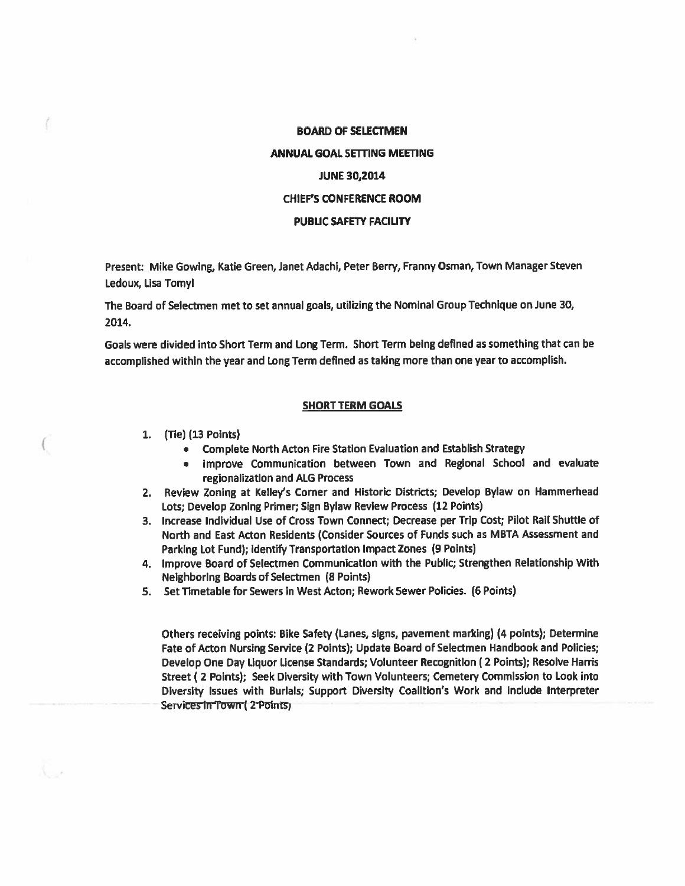## BOARD OF SELECTMEN ANNUAL GOAL SETTING MEETING JUNE 30,2014 CHIEF'S CONFERENCE ROOM PUBLIC SAFETY FACILITY

Present: Mike Cowing, Katie Green, Janet Adachi, Peter Berry, Franny Osman, Town Manager Steven Ledoux, Lisa Tomyl

The Board of Selectmen met to set annual goals, utilizing the Nominal Group Technique on June 30, 2014.

Goals were divided into Short Term and Long Term. Short Term being defined as something that can be accomplished within the year and Long Term defined as taking more than one year to accomplish.

## SHORT TERM GOALS

/

- 1. (Tie) (13 Points)<br>
 Complete North Acton Fire Station Evaluation and Establish Strategy
	- Improve Communication between Town and Regional School and evaluate  $\bullet$ regionalization and ALC Process
- 2. Review Zoning at Kelley's Corner and Historic Districts; Develop Bylaw on Hammerhead Lots; Develop Zoning Primer; Sign Bylaw Review Process (12 Points)
- 3. Increase Individual Use of Cross Town Connect; Decrease per Trip Cost; Pilot Rail Shuttle of North and East Acton Residents (Consider Sources of Funds such as MBTA Assessment and Parking Lot Fund); Identify Transportation Impact Zones (9 Points)
- 4. Improve Board of Selectmen Communication with the Public; Strengthen Relationship With Neighboring Boards of Selectmen (8 Points)
- 5. Set Timetable for Sewers in West Acton; Rework Sewer Policies. (6 Points)

Others receiving points: Bike Safety (Lanes, signs, pavemen<sup>t</sup> marking) (4 points); Determine Fate of Acton Nursing Service (2 Points); Update Board of Selectmen Handbook and Policies; Develop One Day Liquor License Standards; Volunteer Recognition (2 Points); Resolve Harris Street ( <sup>2</sup> Points); Seek Diversity with Town Volunteers; Cemetery Commission to Look into Diversity Issues with Burials; Support Diversity Coalition's Work and Include Interpreter Services in Town (2 Points)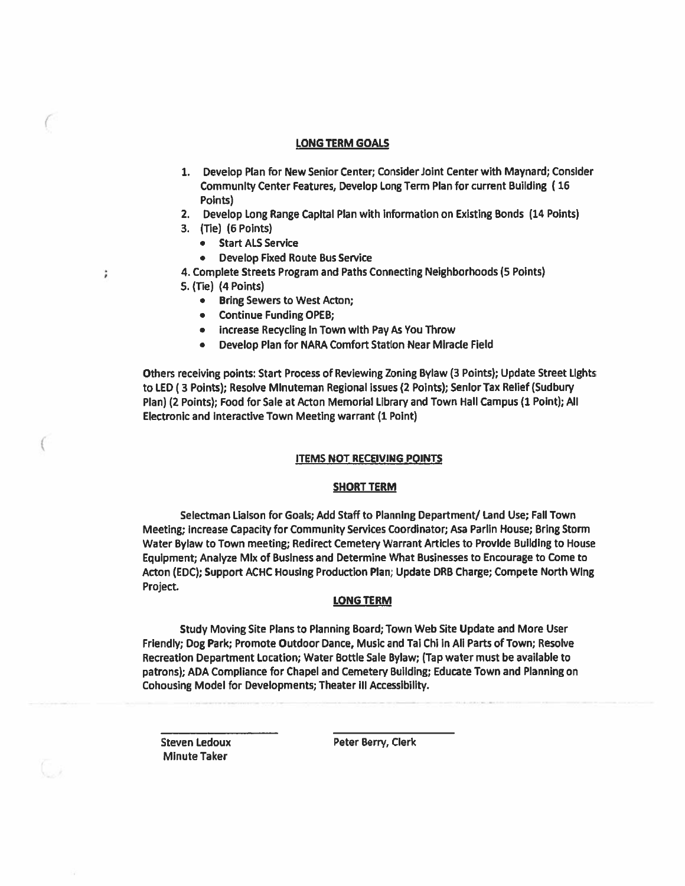### LONG TERM GOALS

- 1. Develop Plan for New Senior Center; Consider Joint Center with Maynard; Con5ider Community Center Features, Develop Long Term Plan for current Building (16 Point)
- 2. Develop Long Range Capital Plan with information on Existing Bonds (14 Points)
- 3. (Tie) (6 Points)

 $\left($ 

÷

C

- Start ALS Service
- Develop Fixed Route Bus Service
- 4. Complete Streets Program and Paths Connecting Neighborhoods (5 Points)
- 5. (Tie) (4 Points)
	- Bring Sewers to West Acton;
	- Continue Funding OPEB;
	- •Increase Recycling in Town with Pay As You Throw
	- •Develop Plan for NARA Comfort Station Near Miracle Field

Others receiving points: Start Process of Reviewing Zoning Bylaw (3 Points); Update Street Lights to LED (3 Points); Resolve Minuteman Regional issues (2 Points); Senior Tax Relief (Sudbury Plan) (2 Points); Food for Sale at Acton Memorial Library and Town Hall Campus (1 Point); All Electronic and Interactive Town Meeting warrant (1 Point)

## ITEMS NOT RECEIVING POINTS

## SHORT TERM

Selectman Liaison for Goals; Add Staff to Planning Department/ Land Use; Fall Town Meeting; Increase Capacity for Community Services Coordinator; Asa Parlin House; Bring Storm Water Bylaw to Town meeting; Redirect Cemetery Warrant Articles to Provide Building to House Equipment; Analyze Mix of Business and Determine What Businesses to Encourage to Come to Acton (EDC); Support ACHC Housing Production Plan; Update DRB Charge; Compete North WIng Project.

## LONG TERM

Study Moving Site Plans to Planning Board; Town Web Site Update and More User Friendly; Dog Park; Promote Outdoor Dance, Music and Tai Chi in All Parts of Town; Resolve Recreation Department Location; Water Bottle Sale Bylaw; (Tap water must be available to patrons); ADA Compliance for Chapel and Cemetery Building; Educate Town and Planning on Cohousing Model for Developments; Theater Ill Accessibility.

Minute Taker

Steven Ledoux Peter Berry, Clerk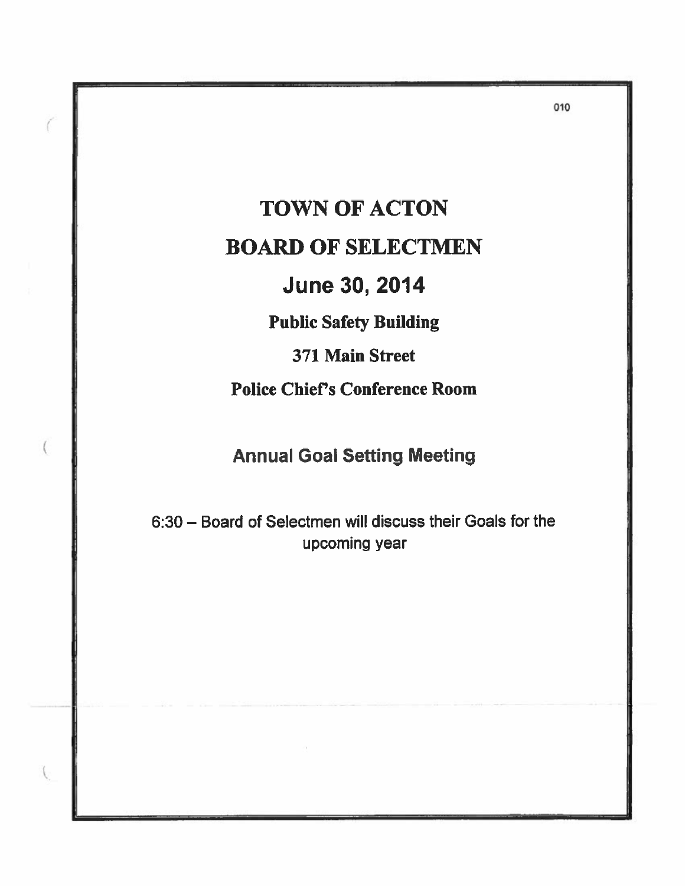TOWN OF ACTON BOARD OF SELECTMEN June 30, 2014

Public Safety Building

371 Main Street

Police Chief's Conference Room

Annual Goal Setting Meeting

6:30 — Board of Selectmen will discuss their Goals for the upcoming year

c

010